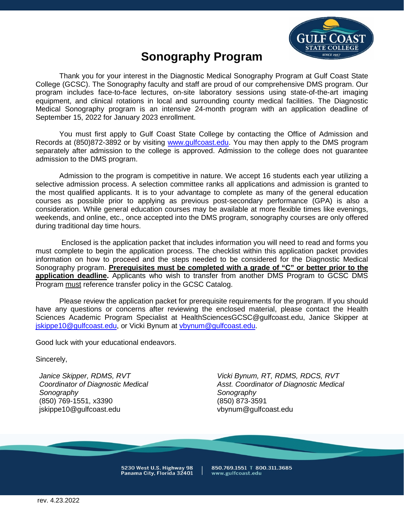

# **Sonography Program**

Thank you for your interest in the Diagnostic Medical Sonography Program at Gulf Coast State College (GCSC). The Sonography faculty and staff are proud of our comprehensive DMS program. Our program includes face-to-face lectures, on-site laboratory sessions using state-of-the-art imaging equipment, and clinical rotations in local and surrounding county medical facilities. The Diagnostic Medical Sonography program is an intensive 24-month program with an application deadline of September 15, 2022 for January 2023 enrollment.

You must first apply to Gulf Coast State College by contacting the Office of Admission and Records at (850)872-3892 or by visiting [www.gulfcoast.edu.](www.gulfcoast.edu) You may then apply to the DMS program separately after admission to the college is approved. Admission to the college does not guarantee admission to the DMS program.

Admission to the program is competitive in nature. We accept 16 students each year utilizing a selective admission process. A selection committee ranks all applications and admission is granted to the most qualified applicants. It is to your advantage to complete as many of the general education courses as possible prior to applying as previous post-secondary performance (GPA) is also a consideration. While general education courses may be available at more flexible times like evenings, weekends, and online, etc., once accepted into the DMS program, sonography courses are only offered during traditional day time hours.

Enclosed is the application packet that includes information you will need to read and forms you must complete to begin the application process. The checklist within this application packet provides information on how to proceed and the steps needed to be considered for the Diagnostic Medical Sonography program. **Prerequisites must be completed with a grade of "C" or better prior to the application deadline.** Applicants who wish to transfer from another DMS Program to GCSC DMS Program must reference transfer policy in the GCSC Catalog.

Please review the application packet for prerequisite requirements for the program. If you should have any questions or concerns after reviewing the enclosed material, please contact the Health Sciences Academic Program Specialist at [HealthSciencesGCSC@gulfcoast.edu](mailto:HealthSciencesGCSC@gulfcoast.edu), Janice Skipper at [jskippe10@gulfcoast.edu](mailto:jskippe10@gulfcoast.edu), or Vicki Bynum at [vbynum@gulfcoast.edu](mailto:vbynum@gulfcoast.edu).

Good luck with your educational endeavors.

Sincerely,

(850) 769-1551, x3390 (850) 873-3591 jskippe10@gulfcoast.edu vbynum@gulfcoast.edu

*Janice Skipper, RDMS, RVT Vicki Bynum, RT, RDMS, RDCS, RVT Coordinator of Diagnostic Medical Asst. Coordinator of Diagnostic Medical Sonography Sonography* 

5230 West U.S. Highway 98<br>Panama City, Florida 32401

850.769.1551 T 800.311.3685 www.gulfcoast.edu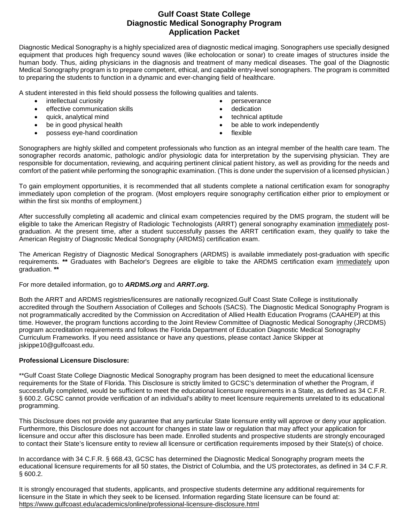### **Gulf Coast State College Diagnostic Medical Sonography Program Application Packet**

Diagnostic Medical Sonography is a highly specialized area of diagnostic medical imaging. Sonographers use specially designed equipment that produces high frequency sound waves (like echolocation or sonar) to create images of structures inside the human body. Thus, aiding physicians in the diagnosis and treatment of many medical diseases. The goal of the Diagnostic Medical Sonography program is to prepare competent, ethical, and capable entry-level sonographers. The program is committed to preparing the students to function in a dynamic and ever-changing field of healthcare.

A student interested in this field should possess the following qualities and talents.

- intellectual curiosity  **perseverance**
- effective communication skills **•** dedication
- quick, analytical mind **•** technical aptitude
- 
- possess eye-hand coordination flexible
- 
- 
- 
- be in good physical health **•** be able to work independently
	-

Sonographers are highly skilled and competent professionals who function as an integral member of the health care team. The sonographer records anatomic, pathologic and/or physiologic data for interpretation by the supervising physician. They are responsible for documentation, reviewing, and acquiring pertinent clinical patient history, as well as providing for the needs and comfort of the patient while performing the sonographic examination. (This is done under the supervision of a licensed physician.)

To gain employment opportunities, it is recommended that all students complete a national certification exam for sonography immediately upon completion of the program. (Most employers require sonography certification either prior to employment or within the first six months of employment.)

After successfully completing all academic and clinical exam competencies required by the DMS program, the student will be eligible to take the American Registry of Radiologic Technologists (ARRT) general sonography examination immediately postgraduation. At the present time, after a student successfully passes the ARRT certification exam, they qualify to take the American Registry of Diagnostic Medical Sonography (ARDMS) certification exam.

The American Registry of Diagnostic Medical Sonographers (ARDMS) is available immediately post-graduation with specific requirements. **\*\*** Graduates with Bachelor's Degrees are eligible to take the ARDMS certification exam immediately upon graduation. **\*\*** 

For more detailed information, go to *[ARDMS.org](https://ARDMS.org)* and *[ARRT.org](https://ARRT.org).* 

Both the ARRT and ARDMS registries/licensures are nationally recognized.Gulf Coast State College is institutionally accredited through the Southern Association of Colleges and Schools (SACS). The Diagnostic Medical Sonography Program is not programmatically accredited by the Commission on Accreditation of Allied Health Education Programs (CAAHEP) at this time. However, the program functions according to the Joint Review Committee of Diagnostic Medical Sonography (JRCDMS) program accreditation requirements and follows the Florida Department of Education Diagnostic Medical Sonography Curriculum Frameworks. If you need assistance or have any questions, please contact Janice Skipper at [jskippe10@gulfcoast.edu.](mailto:jskippe10@gulfcoast.edu)

#### **Professional Licensure Disclosure:**

\*\*Gulf Coast State College Diagnostic Medical Sonography program has been designed to meet the educational licensure requirements for the State of Florida. This Disclosure is strictly limited to GCSC's determination of whether the Program, if successfully completed, would be sufficient to meet the educational licensure requirements in a State, as defined as 34 C.F.R. § 600.2. GCSC cannot provide verification of an individual's ability to meet licensure requirements unrelated to its educational programming.

This Disclosure does not provide any guarantee that any particular State licensure entity will approve or deny your application. Furthermore, this Disclosure does not account for changes in state law or regulation that may affect your application for licensure and occur after this disclosure has been made. Enrolled students and prospective students are strongly encouraged to contact their State's licensure entity to review all licensure or certification requirements imposed by their State(s) of choice.

In accordance with 34 C.F.R. § 668.43, GCSC has determined the Diagnostic Medical Sonography program meets the educational licensure requirements for all 50 states, the District of Columbia, and the US protectorates, as defined in 34 C.F.R. § 600.2.

It is strongly encouraged that students, applicants, and prospective students determine any additional requirements for licensure in the State in which they seek to be licensed. Information regarding State licensure can be found at: <https://www.gulfcoast.edu/academics/online/professional-licensure-disclosure.html>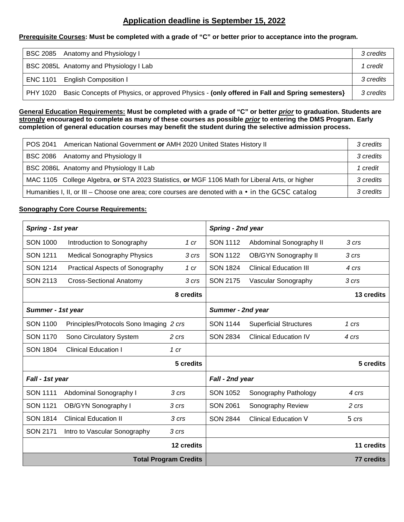## **Application deadline is September 15, 2022**

#### **Prerequisite Courses: Must be completed with a grade of "C" or better prior to acceptance into the program.**

| BSC 2085 Anatomy and Physiology I                                                                     | 3 credits |
|-------------------------------------------------------------------------------------------------------|-----------|
| BSC 2085L Anatomy and Physiology I Lab                                                                | credit    |
| ENC 1101 English Composition I                                                                        | 3 credits |
| PHY 1020 Basic Concepts of Physics, or approved Physics - (only offered in Fall and Spring semesters) | 3 credits |

**General Education Requirements: Must be completed with a grade of "C" or better** *prior* **to graduation. Students are strongly encouraged to complete as many of these courses as possible** *prior* **to entering the DMS Program. Early completion of general education courses may benefit the student during the selective admission process.** 

| POS 2041 | American National Government or AMH 2020 United States History II                                       | 3 credits |
|----------|---------------------------------------------------------------------------------------------------------|-----------|
|          | BSC 2086 Anatomy and Physiology II                                                                      | 3 credits |
|          | BSC 2086L Anatomy and Physiology II Lab                                                                 | 1 credit  |
|          | MAC 1105 College Algebra, or STA 2023 Statistics, or MGF 1106 Math for Liberal Arts, or higher          | 3 credits |
|          | Humanities I, II, or III – Choose one area; core courses are denoted with $a \cdot in$ the GCSC catalog | 3 credits |

#### **Sonography Core Course Requirements:**

| Spring - 1st year |                                         |                              | Spring - 2nd year |                               |                   |
|-------------------|-----------------------------------------|------------------------------|-------------------|-------------------------------|-------------------|
| <b>SON 1000</b>   | Introduction to Sonography              | 1 cr                         | <b>SON 1112</b>   | Abdominal Sonography II       | 3 crs             |
| <b>SON 1211</b>   | <b>Medical Sonography Physics</b>       | 3 crs                        | <b>SON 1122</b>   | OB/GYN Sonography II          | 3 crs             |
| <b>SON 1214</b>   | <b>Practical Aspects of Sonography</b>  | 1 cr                         | <b>SON 1824</b>   | <b>Clinical Education III</b> | 4 crs             |
| <b>SON 2113</b>   | <b>Cross-Sectional Anatomy</b>          | 3 crs                        | <b>SON 2175</b>   | Vascular Sonography           | 3 crs             |
|                   |                                         | 8 credits                    |                   |                               | 13 credits        |
| Summer - 1st year |                                         |                              | Summer - 2nd year |                               |                   |
| <b>SON 1100</b>   | Principles/Protocols Sono Imaging 2 crs |                              | <b>SON 1144</b>   | <b>Superficial Structures</b> | 1 crs             |
| <b>SON 1170</b>   | Sono Circulatory System                 | 2 crs                        | <b>SON 2834</b>   | <b>Clinical Education IV</b>  | 4 crs             |
| <b>SON 1804</b>   | <b>Clinical Education I</b>             | 1 cr                         |                   |                               |                   |
|                   |                                         | 5 credits                    |                   |                               | 5 credits         |
| Fall - 1st year   |                                         |                              | Fall - 2nd year   |                               |                   |
| <b>SON 1111</b>   | Abdominal Sonography I                  | 3 crs                        | <b>SON 1052</b>   | Sonography Pathology          | 4 crs             |
| <b>SON 1121</b>   | OB/GYN Sonography I                     | 3 crs                        | <b>SON 2061</b>   | Sonography Review             | 2 crs             |
| <b>SON 1814</b>   | <b>Clinical Education II</b>            | 3 crs                        | <b>SON 2844</b>   | <b>Clinical Education V</b>   | $5 \, \text{crs}$ |
| <b>SON 2171</b>   | Intro to Vascular Sonography            | 3 crs                        |                   |                               |                   |
|                   |                                         | 12 credits                   |                   |                               | 11 credits        |
|                   |                                         | <b>Total Program Credits</b> |                   |                               | 77 credits        |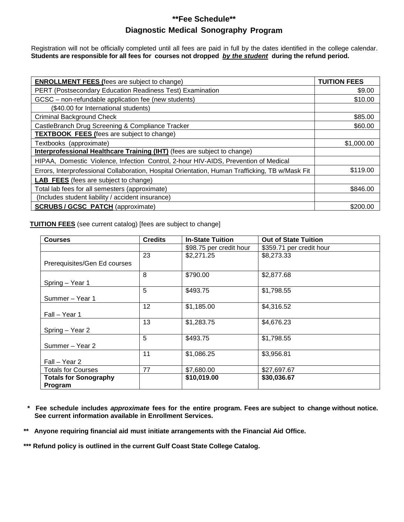## **\*\*Fee Schedule\*\* Diagnostic Medical Sonography Program**

Registration will not be officially completed until all fees are paid in full by the dates identified in the college calendar. **Students are responsible for all fees for courses not dropped** *by the student* **during the refund period.** 

| <b>ENROLLMENT FEES (fees are subject to change)</b>                                             | <b>TUITION FEES</b> |
|-------------------------------------------------------------------------------------------------|---------------------|
| PERT (Postsecondary Education Readiness Test) Examination                                       | \$9.00              |
| GCSC - non-refundable application fee (new students)                                            | \$10.00             |
| (\$40.00 for International students)                                                            |                     |
| <b>Criminal Background Check</b>                                                                | \$85.00             |
| CastleBranch Drug Screening & Compliance Tracker                                                | \$60.00             |
| <b>TEXTBOOK FEES (fees are subject to change)</b>                                               |                     |
| Textbooks (approximate)                                                                         | \$1,000.00          |
| Interprofessional Healthcare Training (IHT) (fees are subject to change)                        |                     |
| HIPAA, Domestic Violence, Infection Control, 2-hour HIV-AIDS, Prevention of Medical             |                     |
| Errors, Interprofessional Collaboration, Hospital Orientation, Human Trafficking, TB w/Mask Fit | \$119.00            |
| <b>LAB FEES</b> (fees are subject to change)                                                    |                     |
| Total lab fees for all semesters (approximate)                                                  | \$846.00            |
| (Includes student liability / accident insurance)                                               |                     |
| <b>SCRUBS / GCSC PATCH (approximate)</b>                                                        | \$200.00            |

**TUITION FEES** (see current catalog) [fees are subject to change]

| <b>Courses</b>               | <b>Credits</b>    | <b>In-State Tuition</b> | <b>Out of State Tuition</b> |
|------------------------------|-------------------|-------------------------|-----------------------------|
|                              |                   | \$98.75 per credit hour | \$359.71 per credit hour    |
|                              | 23                | \$2,271.25              | \$8,273.33                  |
| Prerequisites/Gen Ed courses |                   |                         |                             |
|                              | 8                 | \$790.00                | \$2,877.68                  |
| Spring - Year 1              |                   |                         |                             |
|                              | 5                 | \$493.75                | \$1,798.55                  |
| Summer - Year 1              |                   |                         |                             |
|                              | $12 \overline{ }$ | \$1,185.00              | \$4,316.52                  |
| Fall - Year 1                |                   |                         |                             |
|                              | 13                | \$1,283.75              | \$4,676.23                  |
| Spring - Year 2              |                   |                         |                             |
|                              | 5                 | \$493.75                | \$1,798.55                  |
| Summer - Year 2              |                   |                         |                             |
|                              | 11                | \$1,086.25              | \$3,956.81                  |
| Fall – Year 2                |                   |                         |                             |
| <b>Totals for Courses</b>    | 77                | \$7,680.00              | \$27,697.67                 |
| <b>Totals for Sonography</b> |                   | \$10,019.00             | \$30,036.67                 |
| <b>Program</b>               |                   |                         |                             |

**\* Fee schedule includes** *approximate* **fees for the entire program. Fees are subject to change without notice. See current information available in Enrollment Services.** 

**\*\* Anyone requiring financial aid must initiate arrangements with the Financial Aid Office.** 

**\*\*\* Refund policy is outlined in the current Gulf Coast State College Catalog.**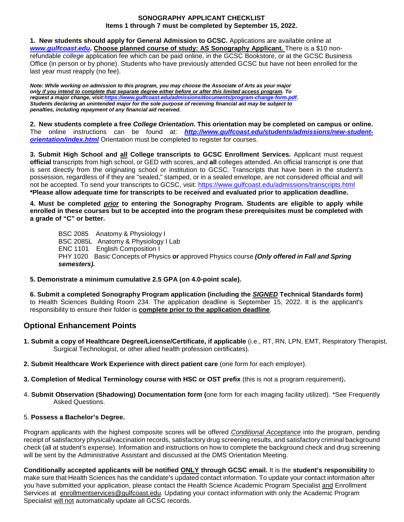#### **SONOGRAPHY APPLICANT CHECKLIST Items 1 through 7 must be completed by September 15, 2022.**

**1. New students should apply for General Admission to GCSC.** Applications are available online at *<www.gulfcoast.edu>***. Choose planned course of study: AS Sonography Applicant.** There is a \$10 nonrefundable *college* application fee which can be paid online, in the GCSC Bookstore, or at the GCSC Business Office (in person or by phone). Students who have previously attended GCSC but have not been enrolled for the last year must reapply (no fee).

*Note: While working on admission to this program, you may choose the Associate of Arts as your major only if you intend to complete that separate degree either before or after this limited access program. To request a major change, visit:https://www.gulfcoast.edu/admissions/documents/program-change-form.pdf. Students declaring an unintended major for the sole purpose of receiving financial aid may be subject to penalties, including repayment of any financial aid received.* 

**2. New students complete a free** *College Orientation.* **This orientation may be completed on campus or online.**  The online instructions can be found at: *<http://www.gulfcoast.edu/students/admissions/new-student>orientation/index.html* Orientation must be completed to register for courses.

**3. Submit High School and all College transcripts to GCSC Enrollment Services.** Applicant must request **official** transcripts from high school, or GED with scores, and **all** colleges attended. An official transcript is one that is sent directly from the originating school or institution to GCSC. Transcripts that have been in the student's possession, regardless of if they are "sealed," stamped, or in a sealed envelope, are not considered official and will not be accepted. To send your transcripts to GCSC, visit:<https://www.gulfcoast.edu/admissions/transcripts.html> **\*Please allow adequate time for transcripts to be received and evaluated prior to application deadline.** 

**4. Must be completed** *prior* **to entering the Sonography Program. Students are eligible to apply while enrolled in these courses but to be accepted into the program these prerequisites must be completed with a grade of "C" or better.** 

BSC 2085 Anatomy & Physiology I BSC 2085L Anatomy & Physiology I Lab ENC 1101 English Composition I PHY 1020 Basic Concepts of Physics **or** approved Physics course *(Only offered in Fall and Spring semesters).* 

#### **5. Demonstrate a minimum cumulative 2.5 GPA (on 4.0-point scale).**

**6. Submit a completed Sonography Program application (including the** *SIGNED* **Technical Standards form)**  to Health Sciences Building Room 234. The application deadline is September 15, 2022. It is the applicant's responsibility to ensure their folder is **complete prior to the application deadline**.

## **Optional Enhancement Points**

- **1. Submit a copy of Healthcare Degree/License/Certificate, if applicable** (i.e., RT, RN, LPN, EMT, Respiratory Therapist, Surgical Technologist, or other allied health profession certificates).
- **2. Submit Healthcare Work Experience with direct patient care** (one form for each employer).
- **3. Completion of Medical Terminology course with HSC or OST prefix** (this is not a program requirement)**.**
- 4. **Submit Observation (Shadowing) Documentation form (**one form for each imaging facility utilized). \*See Frequently Asked Questions.

#### 5. **Possess a Bachelor's Degree.**

Program applicants with the highest composite scores will be offered *Conditional Acceptance* into the program, pending receipt of satisfactory physical/vaccination records, satisfactory drug screening results, and satisfactory criminal background check (all at student's expense). Information and instructions on how to complete the background check and drug screening will be sent by the Administrative Assistant and discussed at the DMS Orientation Meeting.

**Conditionally accepted applicants will be notified ONLY through GCSC email.** It is the **student's responsibility** to make sure that Health Sciences has the candidate's updated contact information. To update your contact information after you have submitted your application, please contact the Health Science Academic Program Specialist and Enrollment Services at [enrollmentservices@gulfcoast.edu.](mailto:enrollmentservices@gulfcoast.edu) Updating your contact information with only the Academic Program Specialist will not automatically update all GCSC records.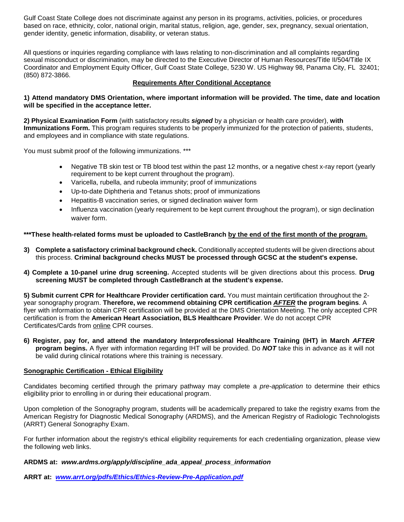Gulf Coast State College does not discriminate against any person in its programs, activities, policies, or procedures based on race, ethnicity, color, national origin, marital status, religion, age, gender, sex, pregnancy, sexual orientation, gender identity, genetic information, disability, or veteran status.

All questions or inquiries regarding compliance with laws relating to non-discrimination and all complaints regarding sexual misconduct or discrimination, may be directed to the Executive Director of Human Resources/Title II/504/Title IX Coordinator and Employment Equity Officer, Gulf Coast State College, 5230 W. US Highway 98, Panama City, FL 32401; (850) 872-3866.

#### **Requirements After Conditional Acceptance**

#### **1) Attend mandatory DMS Orientation, where important information will be provided. The time, date and location will be specified in the acceptance letter.**

**2) Physical Examination Form** (with satisfactory results *signed* by a physician or health care provider), **with Immunizations Form.** This program requires students to be properly immunized for the protection of patients, students, and employees and in compliance with state regulations.

You must submit proof of the following immunizations. \*\*\*

- Negative TB skin test or TB blood test within the past 12 months, or a negative chest x-ray report (yearly requirement to be kept current throughout the program).
- Varicella, rubella, and rubeola immunity; proof of immunizations
- Up-to-date Diphtheria and Tetanus shots; proof of immunizations
- Hepatitis-B vaccination series, or signed declination waiver form
- Influenza vaccination (yearly requirement to be kept current throughout the program), or sign declination waiver form.

#### **\*\*\*These health-related forms must be uploaded to CastleBranch by the end of the first month of the program.**

- **3) Complete a satisfactory criminal background check.** Conditionally accepted students will be given directions about this process. **Criminal background checks MUST be processed through GCSC at the student's expense.**
- **4) Complete a 10-panel urine drug screening.** Accepted students will be given directions about this process. **Drug screening MUST be completed through CastleBranch at the student's expense.**

**5) Submit current CPR for Healthcare Provider certification card.** You must maintain certification throughout the 2 year sonography program. **Therefore, we recommend obtaining CPR certification** *AFTER* **the program begins**. A flyer with information to obtain CPR certification will be provided at the DMS Orientation Meeting. The only accepted CPR certification is from the **American Heart Association, BLS Healthcare Provider**. We do not accept CPR Certificates/Cards from online CPR courses.

**6) Register, pay for, and attend the mandatory Interprofessional Healthcare Training (IHT) in March** *AFTER*  **program begins.** A flyer with information regarding IHT will be provided. Do *NOT* take this in advance as it will not be valid during clinical rotations where this training is necessary.

#### **Sonographic Certification - Ethical Eligibility**

Candidates becoming certified through the primary pathway may complete a *pre-application* to determine their ethics eligibility prior to enrolling in or during their educational program.

Upon completion of the Sonography program, students will be academically prepared to take the registry exams from the American Registry for Diagnostic Medical Sonography (ARDMS), and the American Registry of Radiologic Technologists (ARRT) General Sonography Exam.

For further information about the registry's ethical eligibility requirements for each credentialing organization, please view the following web links.

#### **ARDMS at:** *[www.ardms.org/apply/discipline\\_ada\\_appeal\\_process\\_information](http://www.ardms.org/apply/discipline_ada_appeal_process_information)*

**ARRT at:** *[www.arrt.org/pdfs/Ethics/Ethics-Review-Pre-Application.pdf](http://www.arrt.org/pdfs/Ethics/Ethics-Review-Pre-Application.pdf)*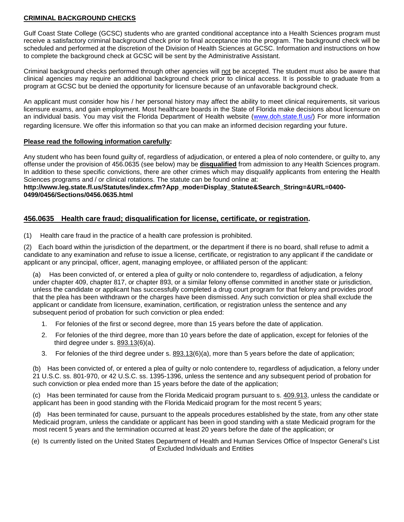#### **CRIMINAL BACKGROUND CHECKS**

Gulf Coast State College (GCSC) students who are granted conditional acceptance into a Health Sciences program must receive a satisfactory criminal background check prior to final acceptance into the program. The background check will be scheduled and performed at the discretion of the Division of Health Sciences at GCSC. Information and instructions on how to complete the background check at GCSC will be sent by the Administrative Assistant.

Criminal background checks performed through other agencies will not be accepted. The student must also be aware that clinical agencies may require an additional background check prior to clinical access. It is possible to graduate from a program at GCSC but be denied the opportunity for licensure because of an unfavorable background check.

An applicant must consider how his / her personal history may affect the ability to meet clinical requirements, sit various licensure exams, and gain employment. Most healthcare boards in the State of Florida make decisions about licensure on an individual basis. You may visit the Florida Department of Health website [\(www.doh.state.fl.us/\)](http://www.doh.state.fl.us/) For more information regarding licensure. We offer this information so that you can make an informed decision regarding your future.

#### **Please read the following information carefully:**

Any student who has been found guilty of, regardless of adjudication, or entered a plea of nolo contendere, or guilty to, any offense under the provision of 456.0635 (see below) may be **disqualified** from admission to any Health Sciences program. In addition to these specific convictions, there are other crimes which may disqualify applicants from entering the Health Sciences programs and / or clinical rotations. The statute can be found online at:

#### **[http://www.leg.state.fl.us/Statutes/index.cfm?App\\_mode=Display\\_Statute&Search\\_String=&URL=0400-](http://www.leg.state.fl.us/Statutes/index.cfm?App_mode=Display_Statute&Search_String=&URL=0400-0499/0456/Sections/0456.0635.html) [0499/0456/Sections/0456.0635.html](http://www.leg.state.fl.us/Statutes/index.cfm?App_mode=Display_Statute&Search_String=&URL=0400-0499/0456/Sections/0456.0635.html)**

#### **456.0635 Health care fraud; disqualification for license, certificate, or registration.**

(1) Health care fraud in the practice of a health care profession is prohibited.

(2) Each board within the jurisdiction of the department, or the department if there is no board, shall refuse to admit a candidate to any examination and refuse to issue a license, certificate, or registration to any applicant if the candidate or applicant or any principal, officer, agent, managing employee, or affiliated person of the applicant:

Has been convicted of, or entered a plea of guilty or nolo contendere to, regardless of adjudication, a felony under chapter 409, chapter 817, or chapter 893, or a similar felony offense committed in another state or jurisdiction, unless the candidate or applicant has successfully completed a drug court program for that felony and provides proof that the plea has been withdrawn or the charges have been dismissed. Any such conviction or plea shall exclude the applicant or candidate from licensure, examination, certification, or registration unless the sentence and any subsequent period of probation for such conviction or plea ended:

- 1. For felonies of the first or second degree, more than 15 years before the date of application.
- 2. For felonies of the third degree, more than 10 years before the date of application, except for felonies of the third degree under s. [893.13\(](http://www.leg.state.fl.us/Statutes/index.cfm?App_mode=Display_Statute&Search_String=&URL=0800-0899/0893/Sections/0893.13.html)6)(a).
- 3. For felonies of the third degree under s. [893.13\(](http://www.leg.state.fl.us/Statutes/index.cfm?App_mode=Display_Statute&Search_String=&URL=0800-0899/0893/Sections/0893.13.html)6)(a), more than 5 years before the date of application;

(b) Has been convicted of, or entered a plea of guilty or nolo contendere to, regardless of adjudication, a felony under 21 U.S.C. ss. 801-970, or 42 U.S.C. ss. 1395-1396, unless the sentence and any subsequent period of probation for such conviction or plea ended more than 15 years before the date of the application;

(c) Has been terminated for cause from the Florida Medicaid program pursuant to s. [409.913,](http://www.leg.state.fl.us/Statutes/index.cfm?App_mode=Display_Statute&Search_String=&URL=0400-0499/0409/Sections/0409.913.html) unless the candidate or applicant has been in good standing with the Florida Medicaid program for the most recent 5 years;

(d) Has been terminated for cause, pursuant to the appeals procedures established by the state, from any other state Medicaid program, unless the candidate or applicant has been in good standing with a state Medicaid program for the most recent 5 years and the termination occurred at least 20 years before the date of the application; or

(e) Is currently listed on the United States Department of Health and Human Services Office of Inspector General's List of Excluded Individuals and Entities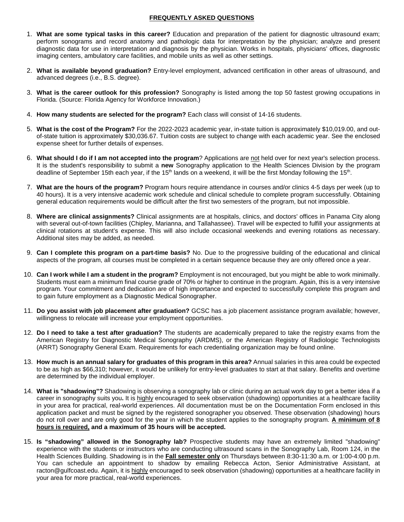#### **FREQUENTLY ASKED QUESTIONS**

- 1. **What are some typical tasks in this career?** Education and preparation of the patient for diagnostic ultrasound exam; perform sonograms and record anatomy and pathologic data for interpretation by the physician; analyze and present diagnostic data for use in interpretation and diagnosis by the physician. Works in hospitals, physicians' offices, diagnostic imaging centers, ambulatory care facilities, and mobile units as well as other settings.
- 2. **What is available beyond graduation?** Entry-level employment, advanced certification in other areas of ultrasound, and advanced degrees (i.e., B.S. degree).
- 3. **What is the career outlook for this profession?** Sonography is listed among the top 50 fastest growing occupations in Florida. (Source: Florida Agency for Workforce Innovation.)
- 4. **How many students are selected for the program?** Each class will consist of 14-16 students.
- 5. **What is the cost of the Program?** For the 2022-2023 academic year, in-state tuition is approximately \$10,019.00, and outof-state tuition is approximately \$30,036.67. Tuition costs are subject to change with each academic year. See the enclosed expense sheet for further details of expenses.
- 6. **What should I do if I am not accepted into the program**? Applications are not held over for next year's selection process. It is the student's responsibility to submit a **new** Sonography application to the Health Sciences Division by the program deadline of September 15th each year, if the 15<sup>th</sup> lands on a weekend, it will be the first Monday following the 15<sup>th</sup>.
- 7. **What are the hours of the program?** Program hours require attendance in courses and/or clinics 4-5 days per week (up to 40 hours). It is a very intensive academic work schedule and clinical schedule to complete program successfully. Obtaining general education requirements would be difficult after the first two semesters of the program, but not impossible.
- 8. **Where are clinical assignments?** Clinical assignments are at hospitals, clinics, and doctors' offices in Panama City along with several out-of-town facilities (Chipley, Marianna, and Tallahassee). Travel will be expected to fulfill your assignments at clinical rotations at student's expense. This will also include occasional weekends and evening rotations as necessary. Additional sites may be added, as needed.
- 9. **Can I complete this program on a part-time basis?** No. Due to the progressive building of the educational and clinical aspects of the program, all courses must be completed in a certain sequence because they are only offered once a year.
- 10. **Can I work while I am a student in the program?** Employment is not encouraged, but you might be able to work minimally. Students must earn a minimum final course grade of 70% or higher to continue in the program. Again, this is a very intensive program. Your commitment and dedication are of high importance and expected to successfully complete this program and to gain future employment as a Diagnostic Medical Sonographer.
- 11. **Do you assist with job placement after graduation?** GCSC has a job placement assistance program available; however, willingness to relocate will increase your employment opportunities.
- 12. **Do I need to take a test after graduation?** The students are academically prepared to take the registry exams from the American Registry for Diagnostic Medical Sonography (ARDMS), or the American Registry of Radiologic Technologists (ARRT) Sonography General Exam. Requirements for each credentialing organization may be found online.
- 13. **How much is an annual salary for graduates of this program in this area?** Annual salaries in this area could be expected to be as high as \$66,310; however, it would be unlikely for entry-level graduates to start at that salary. Benefits and overtime are determined by the individual employer.
- 14. **What is "shadowing"?** Shadowing is observing a sonography lab or clinic during an actual work day to get a better idea if a career in sonography suits you**.** It is highly encouraged to seek observation (shadowing) opportunities at a healthcare facility in your area for practical, real-world experiences. All documentation must be on the Documentation Form enclosed in this application packet and must be signed by the registered sonographer you observed. These observation (shadowing) hours do not roll over and are only good for the year in which the student applies to the sonography program. **A minimum of 8 hours is required, and a maximum of 35 hours will be accepted.**
- 15. **Is "shadowing" allowed in the Sonography lab?** Prospective students may have an extremely limited "shadowing" experience with the students or instructors who are conducting ultrasound scans in the Sonography Lab, Room 124, in the Health Sciences Building. Shadowing is in the **Fall semester only** on Thursdays between 8:30-11:30 a.m. or 1:00-4:00 p.m. You can schedule an appointment to shadow by emailing Rebecca Acton, Senior Administrative Assistant, at [racton@gulfcoast.edu](mailto:racton@gulfcoast.edu). Again, it is highly encouraged to seek observation (shadowing) opportunities at a healthcare facility in your area for more practical, real-world experiences.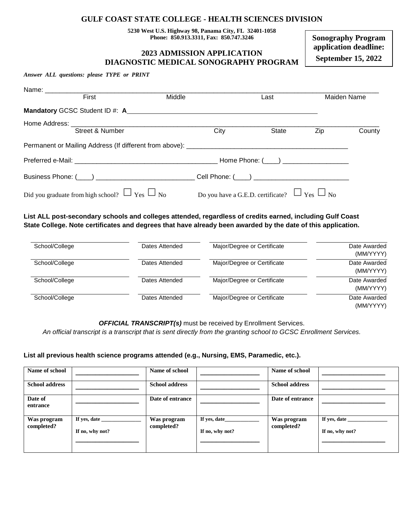#### **GULF COAST STATE COLLEGE - HEALTH SCIENCES DIVISION**

**5230 West U.S. Highway 98, Panama City, FL 32401-1058 Phone: 850.913.3311, Fax: 850.747.3246** 

#### **2023 ADMISSION APPLICATION DIAGNOSTIC MEDICAL SONOGRAPHY PROGRAM**

**Sonography Program application deadline: September 15, 2022** 

*Answer ALL questions: please TYPE or PRINT* 

| Name: _____________ |                                                         |        |      |                                                        |             |        |
|---------------------|---------------------------------------------------------|--------|------|--------------------------------------------------------|-------------|--------|
|                     | First                                                   | Middle |      | Last                                                   | Maiden Name |        |
|                     | Mandatory GCSC Student ID #: A                          |        |      |                                                        |             |        |
|                     |                                                         |        |      |                                                        |             |        |
|                     | Street & Number                                         |        | City | State                                                  | Zip         | County |
|                     |                                                         |        |      |                                                        |             |        |
|                     |                                                         |        |      |                                                        |             |        |
|                     |                                                         |        |      |                                                        |             |        |
|                     | Did you graduate from high school? $\Box$ Yes $\Box$ No |        |      | Do you have a G.E.D. certificate? $\Box$ Yes $\Box$ No |             |        |

**List ALL post-secondary schools and colleges attended, regardless of credits earned, including Gulf Coast State College. Note certificates and degrees that have already been awarded by the date of this application.** 

| School/College | Dates Attended | Major/Degree or Certificate | Date Awarded<br>(MM/YYYY) |
|----------------|----------------|-----------------------------|---------------------------|
| School/College | Dates Attended | Major/Degree or Certificate | Date Awarded<br>(MM/YYYY) |
| School/College | Dates Attended | Major/Degree or Certificate | Date Awarded<br>(MM/YYYY) |
| School/College | Dates Attended | Major/Degree or Certificate | Date Awarded<br>(MM/YYYY) |

*OFFICIAL TRANSCRIPT(s)* must be received by Enrollment Services.

*An official transcript is a transcript that is sent directly from the granting school to GCSC Enrollment Services.* 

#### **List all previous health science programs attended (e.g., Nursing, EMS, Paramedic, etc.).**

| Name of school            |                                 | Name of school            |                                 | Name of school            |                                 |
|---------------------------|---------------------------------|---------------------------|---------------------------------|---------------------------|---------------------------------|
| <b>School address</b>     |                                 | <b>School address</b>     |                                 | <b>School address</b>     |                                 |
| Date of<br>entrance       |                                 | Date of entrance          |                                 | Date of entrance          |                                 |
| Was program<br>completed? | If yes, date<br>If no, why not? | Was program<br>completed? | If yes, date<br>If no, why not? | Was program<br>completed? | If yes, date<br>If no, why not? |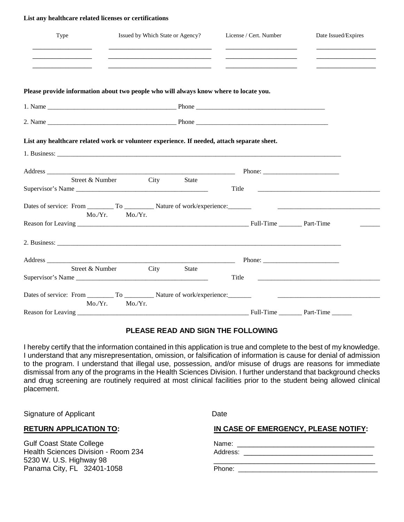#### **List any healthcare related licenses or certifications**

| Type            | Issued by Which State or Agency?<br>and the control of the control of the control of the control of the control of the control of                                                                                                                                                                                            | License / Cert. Number                                    | Date Issued/Expires |
|-----------------|------------------------------------------------------------------------------------------------------------------------------------------------------------------------------------------------------------------------------------------------------------------------------------------------------------------------------|-----------------------------------------------------------|---------------------|
|                 | the control of the control of the control of the control of the control of the control of                                                                                                                                                                                                                                    |                                                           |                     |
|                 | Please provide information about two people who will always know where to locate you.                                                                                                                                                                                                                                        |                                                           |                     |
|                 |                                                                                                                                                                                                                                                                                                                              |                                                           |                     |
|                 |                                                                                                                                                                                                                                                                                                                              |                                                           |                     |
|                 | List any healthcare related work or volunteer experience. If needed, attach separate sheet.<br>1. Business: example, and the contract of the contract of the contract of the contract of the contract of the contract of the contract of the contract of the contract of the contract of the contract of the contract of the |                                                           |                     |
|                 |                                                                                                                                                                                                                                                                                                                              | Phone: $\frac{1}{\sqrt{1-\frac{1}{2}} \cdot \frac{1}{2}}$ |                     |
|                 | Street & Number City<br>State<br>Supervisor's Name                                                                                                                                                                                                                                                                           | Title                                                     |                     |
|                 | Mo./Yr.<br>Mo/Yr.                                                                                                                                                                                                                                                                                                            |                                                           |                     |
|                 |                                                                                                                                                                                                                                                                                                                              |                                                           |                     |
|                 |                                                                                                                                                                                                                                                                                                                              |                                                           |                     |
|                 | Address Phone:                                                                                                                                                                                                                                                                                                               |                                                           |                     |
| Street & Number | City<br><b>State</b><br>Supervisor's Name                                                                                                                                                                                                                                                                                    | Title                                                     |                     |
| Mo/Yr.          | Mo./Yr.                                                                                                                                                                                                                                                                                                                      |                                                           |                     |
|                 |                                                                                                                                                                                                                                                                                                                              |                                                           |                     |

#### **PLEASE READ AND SIGN THE FOLLOWING**

I hereby certify that the information contained in this application is true and complete to the best of my knowledge. I understand that any misrepresentation, omission, or falsification of information is cause for denial of admission to the program. I understand that illegal use, possession, and/or misuse of drugs are reasons for immediate dismissal from any of the programs in the Health Sciences Division. I further understand that background checks and drug screening are routinely required at most clinical facilities prior to the student being allowed clinical placement.

Signature of Applicant Date **Date** 

Gulf Coast State College Health Sciences Division - Room 234 5230 W. U.S. Highway 98 Panama City, FL 32401-1058

**RETURN APPLICATION TO: IN CASE OF EMERGENCY, PLEASE NOTIFY:** 

Name: \_\_\_\_\_\_\_\_\_\_\_\_\_\_\_\_\_\_\_\_\_\_\_\_\_\_\_\_\_\_\_\_\_\_

Address: \_\_\_\_\_\_\_\_\_\_\_\_\_\_\_\_\_\_\_\_\_\_\_\_\_\_\_\_\_\_\_\_

Phone: \_\_\_\_\_\_\_\_\_\_\_\_\_\_\_\_\_\_\_\_\_\_\_\_\_\_\_\_\_\_\_\_\_\_\_\_\_\_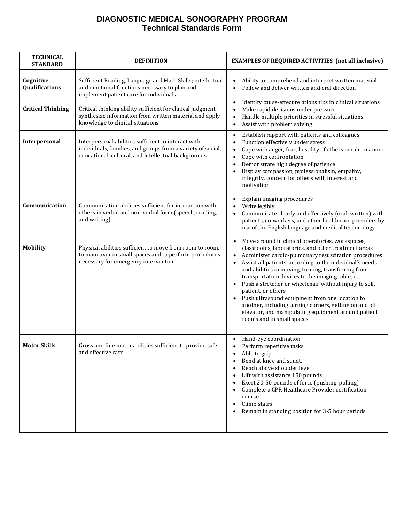## **DIAGNOSTIC MEDICAL SONOGRAPHY PROGRAM Technical Standards Form**

| <b>TECHNICAL</b><br><b>STANDARD</b> | <b>DEFINITION</b>                                                                                                                                                         | <b>EXAMPLES OF REQUIRED ACTIVITIES (not all inclusive)</b>                                                                                                                                                                                                                                                                                                                                                                                                                                                                                                                                                                                        |
|-------------------------------------|---------------------------------------------------------------------------------------------------------------------------------------------------------------------------|---------------------------------------------------------------------------------------------------------------------------------------------------------------------------------------------------------------------------------------------------------------------------------------------------------------------------------------------------------------------------------------------------------------------------------------------------------------------------------------------------------------------------------------------------------------------------------------------------------------------------------------------------|
| Cognitive<br>Qualifications         | Sufficient Reading, Language and Math Skills; intellectual<br>and emotional functions necessary to plan and<br>implement patient care for individuals                     | Ability to comprehend and interpret written material<br>$\bullet$<br>Follow and deliver written and oral direction<br>$\bullet$                                                                                                                                                                                                                                                                                                                                                                                                                                                                                                                   |
| <b>Critical Thinking</b>            | Critical thinking ability sufficient for clinical judgment;<br>synthesize information from written material and apply<br>knowledge to clinical situations                 | Identify cause-effect relationships in clinical situations<br>$\bullet$<br>Make rapid decisions under pressure<br>$\bullet$<br>Handle multiple priorities in stressful situations<br>$\bullet$<br>Assist with problem solving<br>$\bullet$                                                                                                                                                                                                                                                                                                                                                                                                        |
| Interpersonal                       | Interpersonal abilities sufficient to interact with<br>individuals, families, and groups from a variety of social,<br>educational, cultural, and intellectual backgrounds | Establish rapport with patients and colleagues<br>$\bullet$<br>Function effectively under stress<br>Cope with anger, fear, hostility of others in calm manner<br>$\bullet$<br>Cope with confrontation<br>$\bullet$<br>Demonstrate high degree of patience<br>$\bullet$<br>Display compassion, professionalism, empathy,<br>integrity, concern for others with interest and<br>motivation                                                                                                                                                                                                                                                          |
| Communication                       | Communication abilities sufficient for interaction with<br>others in verbal and non-verbal form (speech, reading,<br>and writing)                                         | Explain imaging procedures<br>$\bullet$<br>Write legibly<br>$\bullet$<br>Communicate clearly and effectively (oral, written) with<br>patients, co-workers, and other health care providers by<br>use of the English language and medical terminology                                                                                                                                                                                                                                                                                                                                                                                              |
| <b>Mobility</b>                     | Physical abilities sufficient to move from room to room,<br>to maneuver in small spaces and to perform procedures<br>necessary for emergency intervention                 | Move around in clinical operatories, workspaces,<br>classrooms, laboratories, and other treatment areas<br>Administer cardio-pulmonary resuscitation procedures<br>$\bullet$<br>Assist all patients, according to the individual's needs<br>$\bullet$<br>and abilities in moving, turning, transferring from<br>transportation devices to the imaging table, etc.<br>Push a stretcher or wheelchair without injury to self,<br>patient, or others<br>Push ultrasound equipment from one location to<br>another, including turning corners, getting on and off<br>elevator, and manipulating equipment around patient<br>rooms and in small spaces |
| <b>Motor Skills</b>                 | Gross and fine motor abilities sufficient to provide safe<br>and effective care                                                                                           | Hand-eye coordination<br>Perform repetitive tasks<br>Able to grip<br>Bend at knee and squat.<br>Reach above shoulder level<br>Lift with assistance 150 pounds<br>Exert 20-50 pounds of force (pushing, pulling)<br>Complete a CPR Healthcare Provider certification<br>course<br>Climb stairs<br>Remain in standing position for 3-5 hour periods                                                                                                                                                                                                                                                                                                 |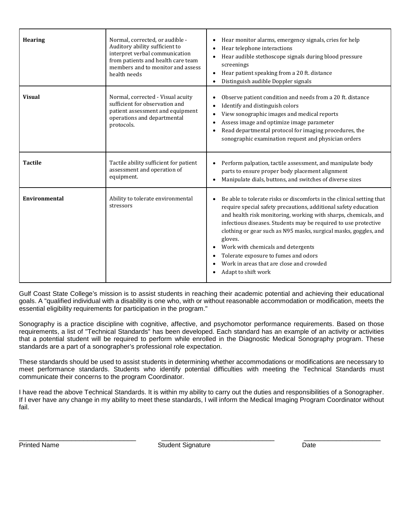| <b>Hearing</b>       | Normal, corrected, or audible -<br>Auditory ability sufficient to<br>interpret verbal communication<br>from patients and health care team<br>members and to monitor and assess<br>health needs | Hear monitor alarms, emergency signals, cries for help<br>$\bullet$<br>Hear telephone interactions<br>$\bullet$<br>Hear audible stethoscope signals during blood pressure<br>$\bullet$<br>screenings<br>Hear patient speaking from a 20 ft. distance<br>$\bullet$<br>Distinguish audible Doppler signals                                                                                                                                                                                                                    |
|----------------------|------------------------------------------------------------------------------------------------------------------------------------------------------------------------------------------------|-----------------------------------------------------------------------------------------------------------------------------------------------------------------------------------------------------------------------------------------------------------------------------------------------------------------------------------------------------------------------------------------------------------------------------------------------------------------------------------------------------------------------------|
| <b>Visual</b>        | Normal, corrected - Visual acuity<br>sufficient for observation and<br>patient assessment and equipment<br>operations and departmental<br>protocols.                                           | Observe patient condition and needs from a 20 ft. distance<br>Identify and distinguish colors<br>$\bullet$<br>View sonographic images and medical reports<br>Assess image and optimize image parameter<br>Read departmental protocol for imaging procedures, the<br>$\bullet$<br>sonographic examination request and physician orders                                                                                                                                                                                       |
| <b>Tactile</b>       | Tactile ability sufficient for patient<br>assessment and operation of<br>equipment.                                                                                                            | Perform palpation, tactile assessment, and manipulate body<br>$\bullet$<br>parts to ensure proper body placement alignment<br>Manipulate dials, buttons, and switches of diverse sizes<br>$\bullet$                                                                                                                                                                                                                                                                                                                         |
| <b>Environmental</b> | Ability to tolerate environmental<br>stressors                                                                                                                                                 | Be able to tolerate risks or discomforts in the clinical setting that<br>$\bullet$<br>require special safety precautions, additional safety education<br>and health risk monitoring, working with sharps, chemicals, and<br>infectious diseases. Students may be required to use protective<br>clothing or gear such as N95 masks, surgical masks, goggles, and<br>gloves.<br>Work with chemicals and detergents<br>Tolerate exposure to fumes and odors<br>Work in areas that are close and crowded<br>Adapt to shift work |

Gulf Coast State College's mission is to assist students in reaching their academic potential and achieving their educational goals. A "qualified individual with a disability is one who, with or without reasonable accommodation or modification, meets the essential eligibility requirements for participation in the program."

Sonography is a practice discipline with cognitive, affective, and psychomotor performance requirements. Based on those requirements, a list of "Technical Standards" has been developed. Each standard has an example of an activity or activities that a potential student will be required to perform while enrolled in the Diagnostic Medical Sonography program. These standards are a part of a sonographer's professional role expectation.

These standards should be used to assist students in determining whether accommodations or modifications are necessary to meet performance standards. Students who identify potential difficulties with meeting the Technical Standards must communicate their concerns to the program Coordinator.

I have read the above Technical Standards. It is within my ability to carry out the duties and responsibilities of a Sonographer. If I ever have any change in my ability to meet these standards, I will inform the Medical Imaging Program Coordinator without fail.

\_\_\_\_\_\_\_\_\_\_\_\_\_\_\_\_\_\_\_\_\_\_\_\_\_\_\_\_\_ \_\_\_\_\_\_\_\_\_\_\_\_\_\_\_\_\_\_\_\_\_\_\_\_\_\_\_\_ \_\_\_\_\_\_\_\_\_\_\_\_\_\_\_\_\_\_\_ Printed Name **Student Signature** Charles Controller Student Signature Charles Charles Charles Charles Charles Charles Charles Charles Charles Charles Charles Charles Charles Charles Charles Charles Charles Charles Charles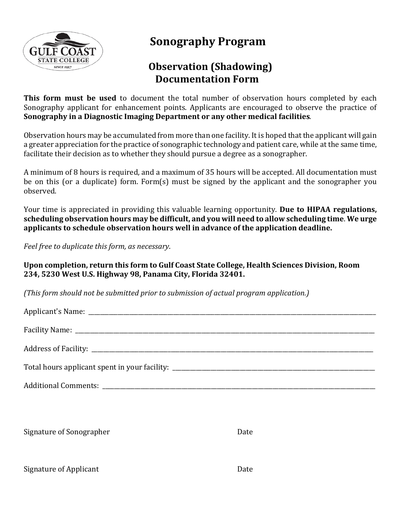

# **Sonography Program**

## **Observation (Shadowing) Documentation Form**

**This form must be used** to document the total number of observation hours completed by each Sonography applicant for enhancement points. Applicants are encouraged to observe the practice of **Sonography in a Diagnostic Imaging Department or any other medical facilities***.* 

Observation hours may be accumulated from more than one facility. It is hoped that the applicant will gain a greater appreciation for the practice of sonographic technology and patient care, while at the same time, facilitate their decision as to whether they should pursue a degree as a sonographer.

A minimum of 8 hours is required, and a maximum of 35 hours will be accepted. All documentation must be on this (or a duplicate) form. Form(s) must be signed by the applicant and the sonographer you observed.

Your time is appreciated in providing this valuable learning opportunity. **Due to HIPAA regulations, scheduling observation hours may be difficult, and you will need to allow scheduling time**. **We urge applicants to schedule observation hours well in advance of the application deadline.** 

*Feel free to duplicate this form, as necessary*.

## **Upon completion, return this form to Gulf Coast State College, Health Sciences Division, Room 234, 5230 West U.S. Highway 98, Panama City, Florida 32401.**

*(This form should not be submitted prior to submission of actual program application.)* 

Signature of Sonographer **Date** 

Signature of Applicant Date